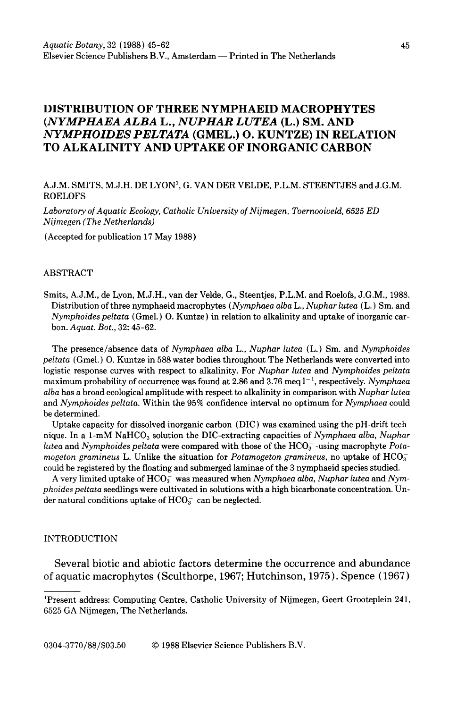# **DISTRIBUTION OF THREE NYMPHAEID MACROPHYTES**  *(NYMPHAEA ALBA* **L.,** *NUPHAR LUTEA* **(L.) SM. AND**  *NYMPHOIDES PELTATA* **(GMEL.) 0. KUNTZE) IN RELATION TO ALKALINITY AND UPTAKE OF INORGANIC CARBON**

A.J.M. SMITS, M.J.H. DE LYON', G. VANDERVELDE, P.L.M. STEENTJES andJ.G.M. ROELOFS

*Laboratory of Aquatic Ecology, Catholic University of Nijmegen, Toernooiveld, 6525 ED Nijmegen (The Netherlands)* 

(Accepted for publication 17 May 1988)

#### ABSTRACT

Smits, A.J.M., de Lyon, M.J.H., van der Velde, G., Steentjes, P.L.M. and Roelofs, J.G.M., 1988. Distribution of three nymphaeid macrophytes *(Nymphaea alba* L., *Nuphar lutea* (L.) Sm. and *Nymphoides peltata* ( Gmel.) 0. Kuntze) in relation to alkalinity and uptake of inorganic carbon. *Aquat. Bot.,* 32: 45-62.

The presence/absence data of *Nymphaea alba* L., *Nuphar lutea* (L.) Sm. and *Nymphoides peltata* ( Gmel.) 0. Kuntze in 588 water bodies throughout The Netherlands were converted into logistic response curves with respect to alkalinity. For *Nuphar lutea* and *Nymphoides peltata*  maximum probability of occurrence was found at 2.86 and 3.76 meq l<sup>-1</sup>, respectively. *Nymphaea alba* has a broad ecological amplitude with respect to alkalinity in comparison with *Nuphar lutea*  and *Nymphoides peltata.* Within the 95% confidence interval no optimum for *Nymphaea* could be determined.

Uptake capacity for dissolved inorganic carbon (DIC) was examined using the pH-drift technique. In a 1-mM NaHCO<sub>3</sub> solution the DIC-extracting capacities of *Nymphaea alba, Nuphar lutea* and *Nymphoides peltata* were compared with those of the HCO<sub>3</sub> -using macrophyte *Potamogeton gramineus* L. Unlike the situation for *Potamogeton gramineus*, no uptake of  $HCO<sub>3</sub>$ could be registered by the floating and submerged laminae of the 3 nymphaeid species studied.

A very limited uptake of HC03 was measured when *Nymphaea alba, Nuphar lutea* and *Nymphoides peltata* seedlings were cultivated in solutions with a high bicarbonate concentration. Under natural conditions uptake of  $HCO<sub>3</sub><sup>-</sup>$  can be neglected.

#### INTRODUCTION

Several biotic and abiotic factors determine the occurrence and abundance of aquatic macrophytes (Sculthorpe, 1967; Hutchinson, 1975). Spence (1967)

0304-3770/88/\$03.50 © 1988 Elsevier Science Publishers B.V.

<sup>1</sup> Present address: Computing Centre, Catholic University of Nijmegen, Geert Grooteplein 241, 6525 GA Nijmegen, The Netherlands.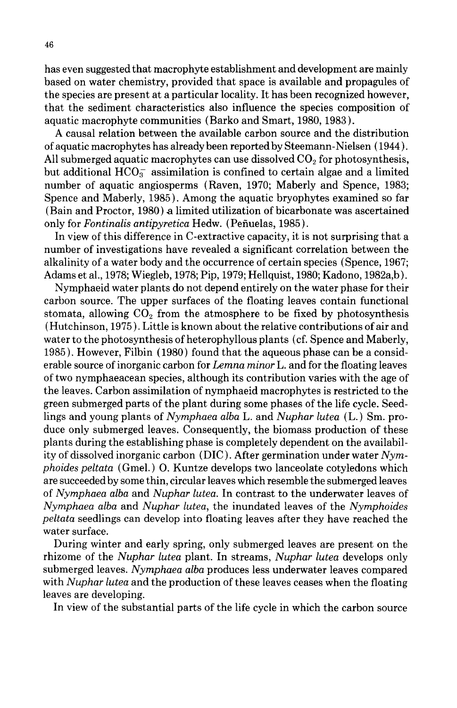has even suggested that macrophyte establishment and development are mainly based on water chemistry, provided that space is available and propagules of the species are present at a particular locality. It has been recognized however, that the sediment characteristics also influence the species composition of aquatic macrophyte communities (Barko and Smart, 1980, 1983 ).

A causal relation between the available carbon source and the distribution of aquatic macrophytes has already been reported by Steemann-Nielsen ( 1944). All submerged aquatic macrophytes can use dissolved  $CO<sub>2</sub>$  for photosynthesis, but additional  $HCO<sub>3</sub><sup>-</sup>$  assimilation is confined to certain algae and a limited number of aquatic angiosperms (Raven, 1970; Maberly and Spence, 1983; Spence and Maberly, 1985). Among the aquatic bryophytes examined so far  $(Bain and Proctor, 1980)$  a limited utilization of bicarbonate was ascertained only for *Fontinalis antipyretica* Hedw. ( Pefiuelas, 1985).

In view of this difference in C-extractive capacity, it is not surprising that a number of investigations have revealed a significant correlation between the alkalinity of a water body and the occurrence of certain species (Spence, 1967; Adams et al., 1978; Wiegleb, 1978; Pip, 1979; Hellquist, 1980; Kadono, 1982a,b).

Nymphaeid water plants do not depend entirely on the water phase for their carbon source. The upper surfaces of the floating leaves contain functional stomata, allowing  $CO<sub>2</sub>$  from the atmosphere to be fixed by photosynthesis (Hutchinson, 1975). Little is known about the relative contributions of air and water to the photosynthesis of heterophyllous plants ( cf. Spence and Maberly, 1985). However, Filbin ( 1980) found that the aqueous phase can be a considerable source of inorganic carbon for *Lemna minor* L. and for the floating leaves of two nymphaeacean species, although its contribution varies with the age of the leaves. Carbon assimilation of nymphaeid macrophytes is restricted to the green submerged parts of the plant during some phases of the life cycle. Seedlings and young plants of *Nymphaea alba* L. and *Nuphar lutea* (L.) Sm. produce only submerged leaves. Consequently, the biomass production of these plants during the establishing phase is completely dependent on the availability of dissolved inorganic carbon (DIC). After germination under water *Nymphoides peltata* ( Gmel.) 0. Kuntze develops two lanceolate cotyledons which are succeeded by some thin, circular leaves which resemble the submerged leaves of *Nymphaea alba* and *Nuphar lutea.* In contrast to the underwater leaves of *Nymphaea alba* and *Nuphar lutea,* the inundated leaves of the *Nymphoides peltata* seedlings can develop into floating leaves after they have reached the water surface.

During winter and early spring, only submerged leaves are present on the rhizome of the *Nuphar lutea* plant. In streams, *Nuphar lutea* develops only submerged leaves. *Nymphaea alba* produces less underwater leaves compared with *Nuphar lutea* and the production of these leaves ceases when the floating leaves are developing.

In view of the substantial parts of the life cycle in which the carbon source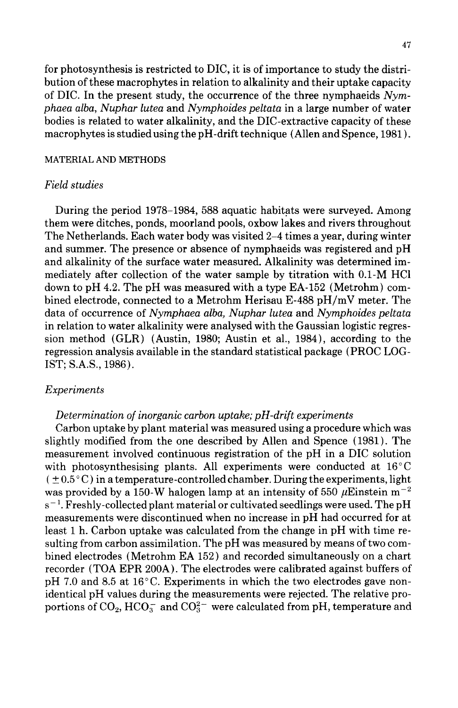for photosynthesis is restricted to DIC, it is of importance to study the distribution of these macrophytes in relation to alkalinity and their uptake capacity of DIC. In the present study, the occurrence of the three nymphaeids *Nymphaea alba, Nuphar lutea* and *Nymphoides peltata* in a large number of water bodies is related to water alkalinity, and the DIC-extractive capacity of these macrophytes is studied using the pH -drift technique (Allen and Spence, 1981).

## MATERIAL AND METHODS

# *Field studies*

During the period 1978–1984, 588 aquatic habitats were surveyed. Among them were ditches, ponds, moorland pools, oxbow lakes and rivers throughout The Netherlands. Each water body was visited 2-4 times a year, during winter and summer. The presence or absence of nymphaeids was registered and pH and alkalinity of the surface water measured. Alkalinity was determined immediately after collection of the water sample by titration with 0.1-M HCl down to pH 4.2. The pH was measured with a type EA-152 (Metrohm) combined electrode, connected to a Metrohm Herisau E-488 pH/mV meter. The data of occurrence of *Nymphaea alba, Nuphar lutea* and *Nymphoides peltata*  in relation to water alkalinity were analysed with the Gaussian logistic regression method (GLR) (Austin, 1980; Austin et al., 1984), according to the regression analysis available in the standard statistical package (PROC LOG-1ST; S.A.S., 1986).

### *Experiments*

# *Determination of inorganic carbon uptake; pH-drift experiments*

Carbon uptake by plant material was measured using a procedure which was slightly modified from the one described by Allen and Spence ( 1981). The measurement involved continuous registration of the pH in a DIC solution with photosynthesising plants. All experiments were conducted at  $16^{\circ}$ C  $( \pm 0.5^{\circ} \text{C})$  in a temperature-controlled chamber. During the experiments, light was provided by a 150-W halogen lamp at an intensity of 550  $\mu$ Einstein m<sup>-2</sup>  $\rm s^{-1}$ . Freshly-collected plant material or cultivated seedlings were used. The pH measurements were discontinued when no increase in pH had occurred for at least 1 h. Carbon uptake was calculated from the change in pH with time resulting from carbon assimilation. The pH was measured by means of two combined electrodes (Metrohm EA 152) and recorded simultaneously on a chart recorder (TOA EPR 200A). The electrodes were calibrated against buffers of pH 7.0 and 8.5 at 16°C. Experiments in which the two electrodes gave nonidentical pH values during the measurements were rejected. The relative proportions of  $CO_2$ ,  $HCO_3^-$  and  $CO_3^{2-}$  were calculated from pH, temperature and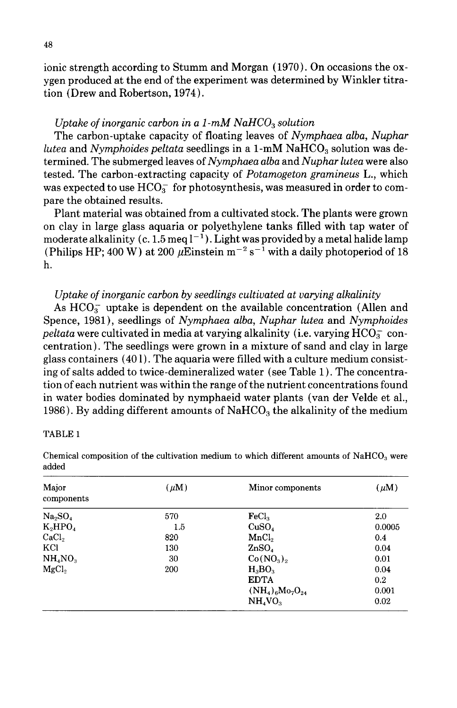ionic strength according to Stumm and Morgan (1970). On occasions the oxygen produced at the end of the experiment was determined by Winkler titration (Drew and Robertson, 1974).

# *Uptake of inorganic carbon in a 1-mM NaHCO<sub>3</sub> solution*

The carbon-uptake capacity of floating leaves of *Nymphaea alba, Nuphar lutea* and *Nymphoides peltata* seedlings in a 1-mM NaHCO<sub>3</sub> solution was determined. The submerged leaves of *Nymphaea alba* and *Nuphar lutea* were also tested. The carbon-extracting capacity of *Potamogeton gramineus* L., which was expected to use  $HCO<sub>3</sub><sup>-</sup>$  for photosynthesis, was measured in order to compare the obtained results.

Plant material was obtained from a cultivated stock. The plants were grown on clay in large glass aquaria or polyethylene tanks filled with tap water of moderate alkalinity (c. 1.5 meq  $l^{-1}$ ). Light was provided by a metal halide lamp (Philips HP; 400 W) at 200  $\mu$ Einstein m<sup>-2</sup> s<sup>-1</sup> with a daily photoperiod of 18 h.

# *Uptake of inorganic carbon by seedlings cultivated at varying alkalinity*

As  $HCO<sub>3</sub><sup>-</sup>$  uptake is dependent on the available concentration (Allen and Spence, 1981), seedlings of *Nymphaea alba, Nuphar lutea* and *Nymphoides peltata* were cultivated in media at varying alkalinity (i.e. varying  $HCO<sub>3</sub><sup>-</sup>$  concentration). The seedlings were grown in a mixture of sand and clay in large glass containers  $(401)$ . The aquaria were filled with a culture medium consisting of salts added to twice-demineralized water (see Table 1). The concentration of each nutrient was within the range of the nutrient concentrations found in water bodies dominated by nymphaeid water plants (van der Velde et al., 1986). By adding different amounts of  $NAHCO<sub>3</sub>$  the alkalinity of the medium

#### TABLE 1

| Major<br>components             | $(\mu M)$ | Minor components                | $(\mu M)$ |
|---------------------------------|-----------|---------------------------------|-----------|
| Na <sub>2</sub> SO <sub>4</sub> | 570       | FeCl <sub>2</sub>               | 2.0       |
| $K_2HPO_4$                      | $1.5\,$   | CuSO <sub>4</sub>               | 0.0005    |
| CaCl <sub>2</sub>               | 820       | MnCl <sub>2</sub>               | 0.4       |
| KCl                             | 130       | ZnSO <sub>4</sub>               | 0.04      |
| NH <sub>4</sub> NO <sub>3</sub> | 30        | $Co(NO_3)$                      | 0.01      |
| MgCl <sub>2</sub>               | 200       | $H_3BO_3$                       | 0.04      |
|                                 |           | <b>EDTA</b>                     | 0.2       |
|                                 |           | $(NH_4)_{6}Mo_{7}O_{24}$        | 0.001     |
|                                 |           | NH <sub>4</sub> VO <sub>3</sub> | 0.02      |

Chemical composition of the cultivation medium to which different amounts of  $\text{NaHCO}_3$  were added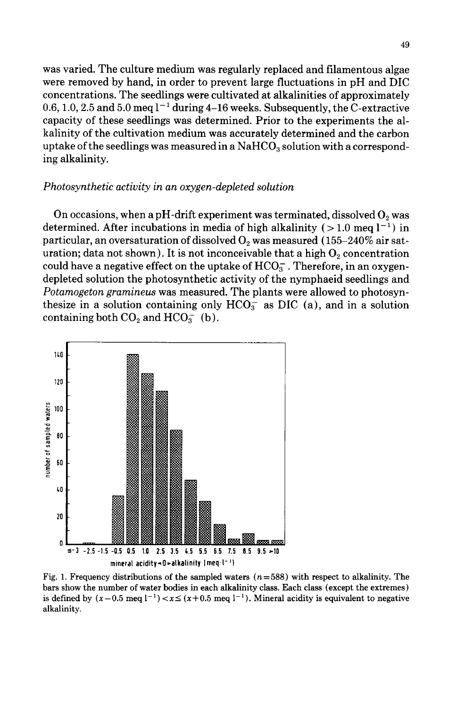was varied. The culture medium was regularly replaced and filamentous algae were removed by hand, in order to prevent large fluctuations in pH and DIC concentrations. The seedlings were cultivated at alkalinities of approximately 0.6, 1.0, 2.5 and 5.0 meg  $l^{-1}$  during 4-16 weeks. Subsequently, the C-extractive capacity of these seedlings was determined. Prior to the experiments the alkalinity of the cultivation medium was accurately determined and the carbon uptake of the seedlings was measured in a  $\text{NaHCO}_3$  solution with a corresponding alkalinity.

# *Photosynthetic activity in an oxygen-depleted solution*

On occasions, when a pH-drift experiment was terminated, dissolved  $O_2$  was determined. After incubations in media of high alkalinity ( $>1.0$  meq  $l^{-1}$ ) in particular, an oversaturation of dissolved  $O_2$  was measured (155-240% air saturation; data not shown). It is not inconceivable that a high  $O_2$  concentration could have a negative effect on the uptake of  $HCO<sub>3</sub><sup>-</sup>$ . Therefore, in an oxygendepleted solution the photosynthetic activity of the nymphaeid seedlings and *Potamogeton gramineus* was measured. The plants were allowed to photosynthesize in a solution containing only  $HCO<sub>3</sub><sup>-</sup>$  as DIC (a), and in a solution containing both  $CO<sub>2</sub>$  and  $HCO<sub>3</sub><sup>-</sup>$  (b).



Fig. 1. Frequency distributions of the sampled waters  $(n=588)$  with respect to alkalinity. The bars show the number of water bodies in each alkalinity class. Each class (except the extremes) is defined by  $(x-0.5 \text{ meq } l^{-1}) < x \le (x+0.5 \text{ meq } l^{-1})$ . Mineral acidity is equivalent to negative alkalinity.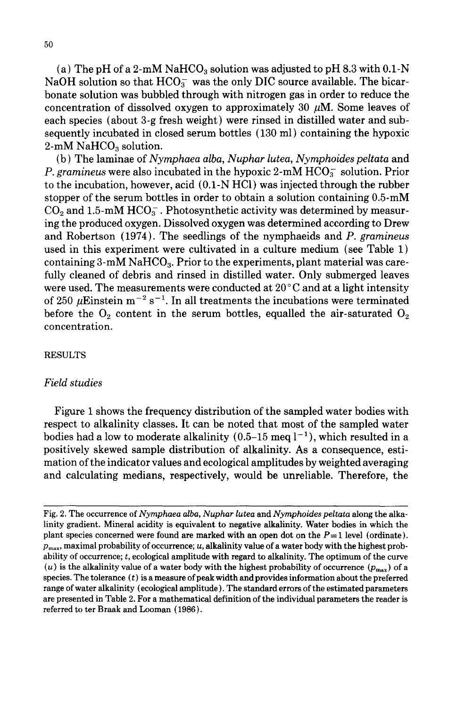(a) The pH of a 2-mM NaHCO<sub>3</sub> solution was adjusted to pH 8.3 with  $0.1-N$ NaOH solution so that  $HCO_3^-$  was the only DIC source available. The bicarbonate solution was bubbled through with nitrogen gas in order to reduce the concentration of dissolved oxygen to approximately 30  $\mu$ M. Some leaves of each species (about 3-g fresh weight) were rinsed in distilled water and subsequently incubated in closed serum bottles (130 ml) containing the hypoxic 2-mM NaHC $O<sub>3</sub>$  solution.

(b) The laminae of *Nymphaea alba, Nuphar lutea, Nymphoides peltata* and *P. gramineus* were also incubated in the hypoxic 2-mM  $HCO<sub>3</sub>$  solution. Prior to the incubation, however, acid (0.1-N HCl) was injected through the rubber stopper of the serum bottles in order to obtain a solution containing 0.5-mM  $CO<sub>2</sub>$  and 1.5-mM HCO<sub>3</sub>. Photosynthetic activity was determined by measuring the produced oxygen. Dissolved oxygen was determined according to Drew and Robertson (1974). The seedlings of the nymphaeids and *P. gramineus* used in this experiment were cultivated in a culture medium (see Table 1) containing 3-mM NaHCO<sub>3</sub>. Prior to the experiments, plant material was carefully cleaned of debris and rinsed in distilled water. Only submerged leaves were used. The measurements were conducted at  $20^{\circ}$ C and at a light intensity of 250  $\mu$ Einstein m<sup>-2</sup> s<sup>-1</sup>. In all treatments the incubations were terminated before the  $O_2$  content in the serum bottles, equalled the air-saturated  $O_2$ concentration.

# RESULTS

### *Field studies*

Figure 1 shows the frequency distribution of the sampled water bodies with respect to alkalinity classes. It can be noted that most of the sampled water bodies had a low to moderate alkalinity  $(0.5-15 \text{ meq } l^{-1})$ , which resulted in a positively skewed sample distribution of alkalinity. As a consequence, estimation of the indicator values and ecological amplitudes by weighted averaging and calculating medians, respectively, would be unreliable. Therefore, the

Fig. 2. The occurrence of *Nymphaea alba, Nuphar lutea* and *Nymphoides peltata* along the alkalinity gradient. Mineral acidity is equivalent to negative alkalinity. Water bodies in which the plant species concerned were found are marked with an open dot on the  $P=1$  level (ordinate).  $p_{\text{max}}$ , maximal probability of occurrence; *u*, alkalinity value of a water body with the highest probability of occurrence; *t,* ecological amplitude with regard to alkalinity. The optimum of the curve (*u*) is the alkalinity value of a water body with the highest probability of occurrence  $(p_{\text{max}})$  of a species. The tolerance  $(t)$  is a measure of peak width and provides information about the preferred range of water alkalinity (ecological amplitude). The standard errors of the estimated parameters are presented in Table 2. For a mathematical definition of the individual parameters the reader is referred to ter Braak and Looman (1986).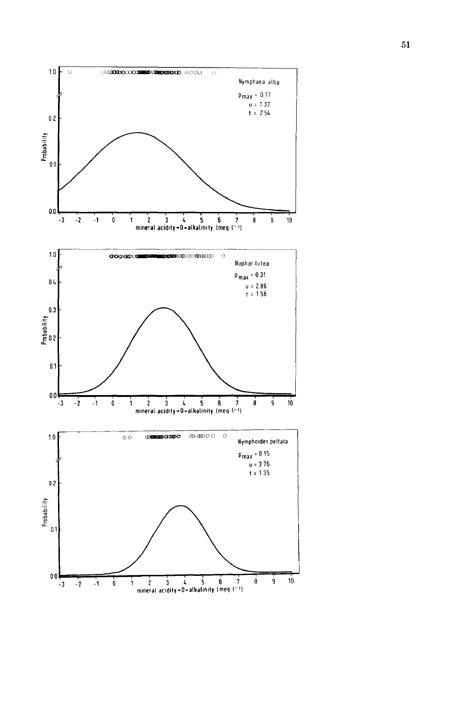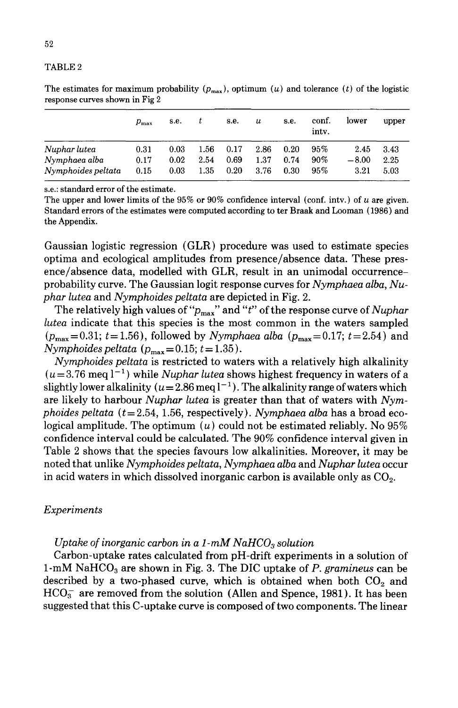#### TABLE2

|                               | $p_{\rm max}$ | s.e.         |              | s.e.         | u            | s.e.         | conf.<br>inty.   | lower           | upper        |
|-------------------------------|---------------|--------------|--------------|--------------|--------------|--------------|------------------|-----------------|--------------|
| Nuphar lutea<br>Nymphaea alba | 0.31<br>0.17  | 0.03<br>0.02 | 1.56<br>2.54 | 0.17<br>0.69 | 2.86<br>1.37 | 0.20<br>0.74 | $95\%$<br>$90\%$ | 2.45<br>$-8.00$ | 3.43<br>2.25 |
| Nymphoides peltata            | 0.15          | 0.03         | 1.35         | 0.20         | 3.76         | 0.30         | 95%              | 3.21            | 5.03         |

The estimates for maximum probability  $(p_{\text{max}})$ , optimum  $(u)$  and tolerance  $(t)$  of the logistic response curves shown in Fig 2

s.e.: standard error of the estimate.

The upper and lower limits of the 95% or 90% confidence interval (conf. intv.) of *u* are given. Standard errors of the estimates were computed according to ter Braak and Looman ( 1986) and the Appendix.

Gaussian logistic regression (GLR) procedure was used to estimate species optima and ecological amplitudes from presence/absence data. These presence/absence data, modelled with GLR, result in an unimodal occurrenceprobability curve. The Gaussian logit response curves for *Nymphaea alba, Nuphar lutea* and *Nymphoides peltata* are depicted in Fig. 2.

The relatively high values of "Pmax" and *"t"* ofthe response curve of *Nuphar lutea* indicate that this species is the most common in the waters sampled  $(p_{\text{max}}=0.31; t=1.56)$ , followed by *Nymphaea alba*  $(p_{\text{max}}=0.17; t=2.54)$  and  $Nymphoides$  peltata  $(p_{\text{max}} = 0.15; t = 1.35)$ .

*Nymphoides peltata* is restricted to waters with a relatively high alkalinity  $(u=3.76 \text{ meq } l^{-1})$  while *Nuphar lutea* shows highest frequency in waters of a slightly lower alkalinity  $(u=2.86 \text{ meq l}^{-1})$ . The alkalinity range of waters which are likely to harbour *Nuphar lutea* is greater than that of waters with *Nymphoides peltata (t* = 2.54, 1.56, respectively). *Nymphaea alba* has a broad ecological amplitude. The optimum  $(u)$  could not be estimated reliably. No 95% confidence interval could be calculated. The 90% confidence interval given in Table 2 shows that the species favours low alkalinities. Moreover, it may be noted that unlike *Nymphoides peltata, Nymphaea alba* and *Nuphar lutea* occur in acid waters in which dissolved inorganic carbon is available only as  $CO<sub>2</sub>$ .

### *Experiments*

### *Uptake of inorganic carbon in a 1-mM NaHCO<sub>3</sub> solution*

Carbon-uptake rates calculated from pH-drift experiments in a solution of 1-mM NaHC03 are shown in Fig. 3. The DIC uptake of *P. gramineus* can be described by a two-phased curve, which is obtained when both  $CO<sub>2</sub>$  and  $HCO<sub>3</sub><sup>-</sup>$  are removed from the solution (Allen and Spence, 1981). It has been suggested that this C-uptake curve is composed of two components. The linear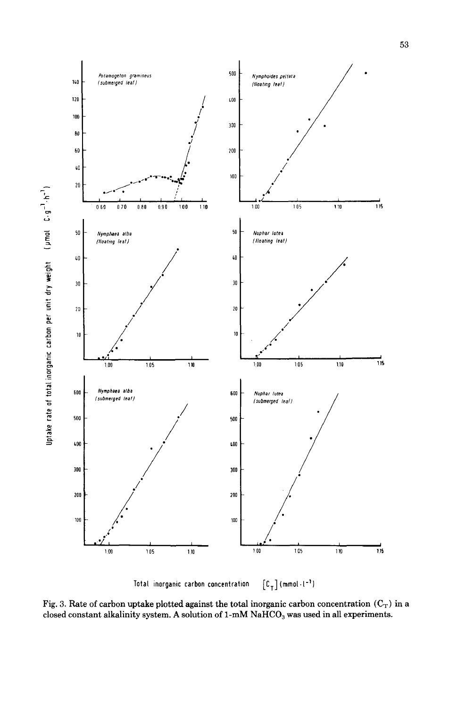

Total inorganic carbon concentration  $[C_T]$  (mmol·l<sup>-1</sup>)

Fig. 3. Rate of carbon uptake plotted against the total inorganic carbon concentration  $(C_T)$  in a closed constant alkalinity system. A solution of  $1-mM$   $NaHCO<sub>3</sub>$  was used in all experiments.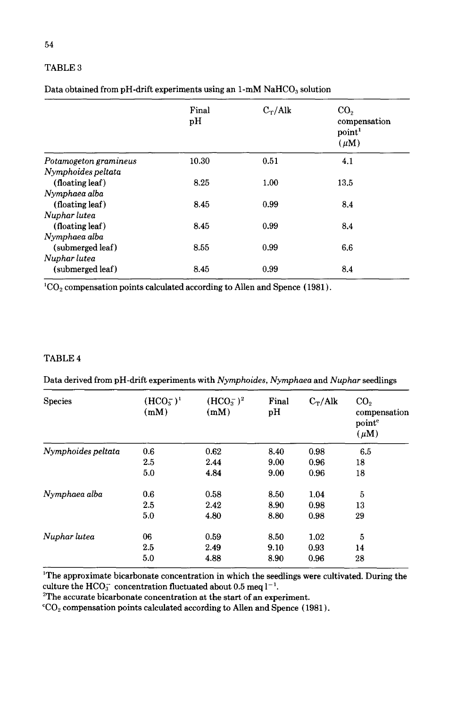# TABLE<sub>3</sub>

| Data obtained from pH-drift experiments using an 1-mM NaHCO <sub>3</sub> solution |  |  |
|-----------------------------------------------------------------------------------|--|--|
|-----------------------------------------------------------------------------------|--|--|

|                       | Final<br>pH | $C_T/Alk$ | CO <sub>2</sub><br>compensation<br>point <sup>1</sup><br>$(\mu M)$ |
|-----------------------|-------------|-----------|--------------------------------------------------------------------|
| Potamogeton gramineus | 10.30       | 0.51      | 4.1                                                                |
| Nymphoides peltata    |             |           |                                                                    |
| (floating leaf)       | 8.25        | 1.00      | 13.5                                                               |
| Nymphaea alba         |             |           |                                                                    |
| (floating leaf)       | 8.45        | 0.99      | 8.4                                                                |
| Nuphar lutea          |             |           |                                                                    |
| (floating leaf)       | 8.45        | 0.99      | 8.4                                                                |
| Nymphaea alba         |             |           |                                                                    |
| (submerged leaf)      | 8.55        | 0.99      | 6.6                                                                |
| Nuphar lutea          |             |           |                                                                    |
| (submerged leaf)      | 8.45        | 0.99      | 8.4                                                                |

 ${}^{1}CO_{2}$  compensation points calculated according to Allen and Spence (1981).

# TABLE 4

Data derived from pH-drift experiments with *Nymphoides, Nymphaea* and *Nuphar* seedlings

| <b>Species</b>     | $(HCO_{3}^{-})^{1}$<br>(mM) | $(HCO3-)2$<br>(mM) | Final<br>pH | $C_T/Alk$ | CO <sub>2</sub><br>compensation<br>point <sup>c</sup><br>$(\mu M)$ |
|--------------------|-----------------------------|--------------------|-------------|-----------|--------------------------------------------------------------------|
| Nymphoides peltata | 0.6                         | 0.62               | 8.40        | 0.98      | 6.5                                                                |
|                    | 2.5                         | 2.44               | 9.00        | 0.96      | 18                                                                 |
|                    | 5.0                         | 4.84               | 9.00        | 0.96      | 18                                                                 |
| Nymphaea alba      | 0.6                         | 0.58               | 8.50        | 1.04      | 5                                                                  |
|                    | 2.5                         | 2.42               | 8.90        | 0.98      | 13                                                                 |
|                    | 5.0                         | 4.80               | 8.80        | 0.98      | 29                                                                 |
| Nuphar lutea       | 06                          | 0.59               | 8.50        | 1.02      | 5                                                                  |
|                    | 2.5                         | 2.49               | 9.10        | 0.93      | 14                                                                 |
|                    | 5.0                         | 4.88               | 8.90        | 0.96      | 28                                                                 |

1 The approximate bicarbonate concentration in which the seedlings were cultivated. During the culture the HCO<sub>3</sub><sup>-</sup> concentration fluctuated about 0.5 meq  $l^{-1}$ .

<sup>2</sup>The accurate bicarbonate concentration at the start of an experiment.

 $°CO<sub>2</sub>$  compensation points calculated according to Allen and Spence (1981).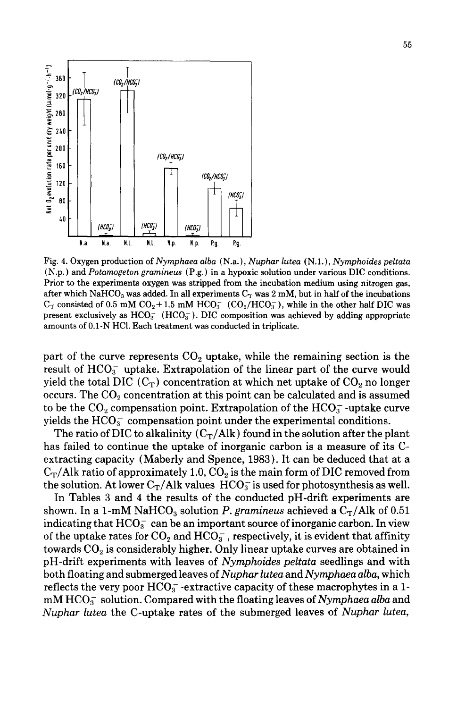

Fig. 4. Oxygen production of *Nymphaea alba* (N.a.), *Nuphar lutea* (N.l.), *Nymphoides peltata*  (N.p.) and *Potamogeton gramineus* (P.g.) in a hypoxic solution under various DIC conditions. Prior to the experiments oxygen was stripped from the incubation medium using nitrogen gas, after which NaHCO<sub>3</sub> was added. In all experiments  $C_T$  was 2 mM, but in half of the incubations  $C_T$  consisted of 0.5 mM  $CO_2+1.5$  mM  $HCO_3^-$  (CO<sub>2</sub>/HCO<sub>3</sub>), while in the other half DIC was present exclusively as  $HCO_3^-$  ( $HCO_3^-$ ). DIC composition was achieved by adding appropriate amounts of 0.1-N HCI. Each treatment was conducted in triplicate.

part of the curve represents  $CO<sub>2</sub>$  uptake, while the remaining section is the result of  $HCO<sub>3</sub><sup>-</sup>$  uptake. Extrapolation of the linear part of the curve would yield the total DIC  $(C_T)$  concentration at which net uptake of  $CO_2$  no longer occurs. The  $CO<sub>2</sub>$  concentration at this point can be calculated and is assumed to be the  $CO_2$  compensation point. Extrapolation of the  $HCO_3^-$ -uptake curve yields the  $HCO<sub>3</sub><sup>-</sup>$  compensation point under the experimental conditions.

The ratio of DIC to alkalinity  $(C_T/AI_k)$  found in the solution after the plant has failed to continue the uptake of inorganic carbon is a measure of its Cextracting capacity (Maberly and Spence, 1983). It can be deduced that at a  $C_T/A$ lk ratio of approximately 1.0,  $CO_2$  is the main form of DIC removed from the solution. At lower  $C_T/A$ lk values  $HCO_3^-$  is used for photosynthesis as well.

In Tables 3 and 4 the results of the conducted pH-drift experiments are shown. In a 1-mM NaHCO<sub>3</sub> solution *P. gramineus* achieved a  $C_T/Alk$  of 0.51 indicating that  $HCO<sub>3</sub><sup>-</sup>$  can be an important source of inorganic carbon. In view of the uptake rates for  $CO_2$  and  $HCO_3^-$ , respectively, it is evident that affinity towards  $CO<sub>2</sub>$  is considerably higher. Only linear uptake curves are obtained in pH -drift experiments with leaves of *Nymphoides peltata* seedlings and with both floating and submerged leaves of *Nuphar lutea andNymphaea alba,* which reflects the very poor  $HCO_3^-$ -extractive capacity of these macrophytes in a 1mM HC03 solution. Compared with the floating leaves of *Nymphaea alba* and *Nuphar lutea* the C-uptake rates of the submerged leaves of *Nuphar lutea,*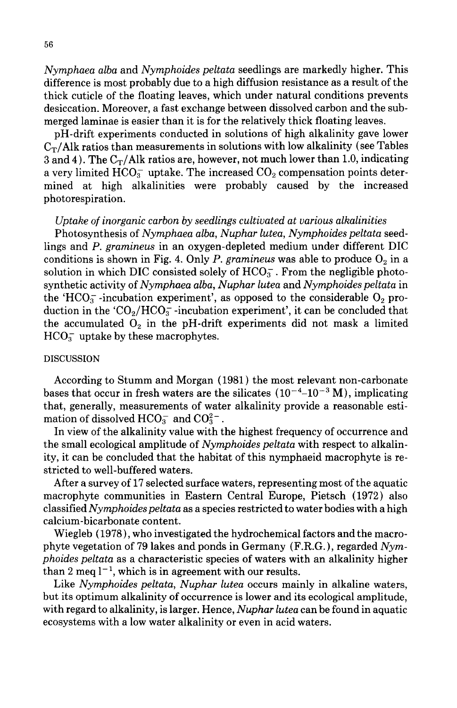*Nymphaea alba* and *Nymphoides peltata* seedlings are markedly higher. This difference is most probably due to a high diffusion resistance as a result of the thick cuticle of the floating leaves, which under natural conditions prevents desiccation. Moreover, a fast exchange between dissolved carbon and the submerged laminae is easier than it is for the relatively thick floating leaves.

pH -drift experiments conducted in solutions of high alkalinity gave lower  $C_T/Alk$  ratios than measurements in solutions with low alkalinity (see Tables 3 and 4). The  $C_T/A$ lk ratios are, however, not much lower than 1.0, indicating a very limited  $HCO<sub>3</sub><sup>-</sup>$  uptake. The increased  $CO<sub>2</sub>$  compensation points determined at high alkalinities were probably caused by the increased photorespiration.

# *Uptake of inorganic carbon by seedlings cultivated at various alkalinities*

Photosynthesis of *Nymphaea alba, Nuphar lutea, Nymphoides peltata* seedlings and *P. gramineus* in an oxygen-depleted medium under different DIC conditions is shown in Fig. 4. Only *P. gramineus* was able to produce  $O_2$  in a solution in which DIC consisted solely of  $HCO<sub>3</sub>$ . From the negligible photosynthetic activity of *Nymphaea alba, Nuphar lutea* and *Nymphoides peltata* in the 'HCO<sub>3</sub><sup>-</sup>-incubation experiment', as opposed to the considerable  $O_2$  production in the ' $CO<sub>2</sub>/HCO<sub>3</sub>$ -incubation experiment', it can be concluded that the accumulated  $O_2$  in the pH-drift experiments did not mask a limited  $HCO<sub>3</sub>$  uptake by these macrophytes.

# DISCUSSION

According to Stumm and Morgan ( 1981) the most relevant non -carbonate bases that occur in fresh waters are the silicates  $(10^{-4}$ – $10^{-3}$  M), implicating that, generally, measurements of water alkalinity provide a reasonable estimation of dissolved  $HCO_3^-$  and  $CO_3^{2-}$ .

In view of the alkalinity value with the highest frequency of occurrence and the small ecological amplitude of *Nymphoides peltata* with respect to alkalinity, it can be concluded that the habitat of this nymphaeid macrophyte is restricted to well-buffered waters.

After a survey of 17 selected surface waters, representing most of the aquatic macrophyte communities in Eastern Central Europe, Pietsch ( 1972) also classified *Nymphoides peltata* as a species restricted to water bodies with a high calcium-bicarbonate content.

Wiegleb ( 1978), who investigated the hydrochemical factors and the macrophyte vegetation of 79lakes and ponds in Germany (F.R.G.), regarded *Nymphoides peltata* as a characteristic species of waters with an alkalinity higher than 2 meq  $l^{-1}$ , which is in agreement with our results.

Like *Nymphoides peltata, Nuphar lutea* occurs mainly in alkaline waters, but its optimum alkalinity of occurrence is lower and its ecological amplitude, with regard to alkalinity, is larger. Hence, *Nuphar lutea* can be found in aquatic ecosystems with a low water alkalinity or even in acid waters.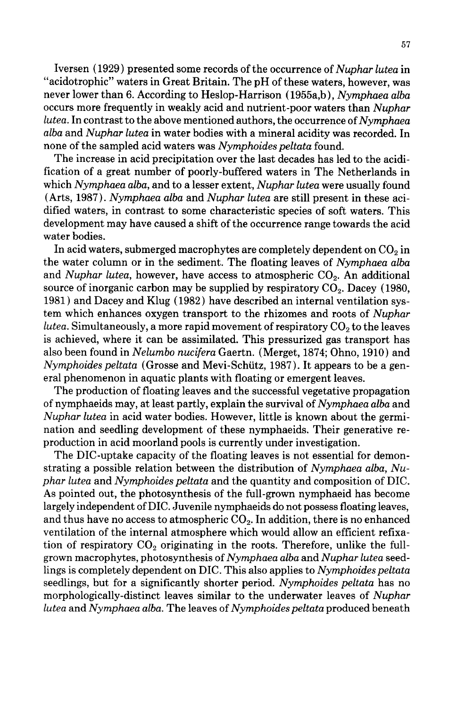Iversen (1929) presented some records of the occurrence of *Nuphar lutea* in "acidotrophic" waters in Great Britain. The pH of these waters, however, was never lower than 6. According to Heslop-Harrison ( 1955a,b), *Nymphaea alba*  occurs more frequently in weakly acid and nutrient-poor waters than *Nuphar lutea.* In contrast to the above mentioned authors, the occurrence of *Nymphaea alba* and *Nuphar lutea* in water bodies with a mineral acidity was recorded. In none of the sampled acid waters was *Nymphoides peltata* found.

The increase in acid precipitation over the last decades has led to the acidification of a great number of poorly-buffered waters in The Netherlands in which *Nymphaea alba,* and to a lesser extent, *Nuphar lutea* were usually found (Arts, 1987). *Nymphaea alba* and *Nuphar lutea* are still present in these acidified waters, in contrast to some characteristic species of soft waters. This development may have caused a shift of the occurrence range towards the acid water bodies.

In acid waters, submerged macrophytes are completely dependent on  $CO<sub>2</sub>$  in the water column or in the sediment. The floating leaves of *Nymphaea alba*  and *Nuphar lutea*, however, have access to atmospheric CO<sub>2</sub>. An additional source of inorganic carbon may be supplied by respiratory  $CO<sub>2</sub>$ . Dacey (1980, 1981) and Dacey and Klug ( 1982) have described an internal ventilation system which enhances oxygen transport to the rhizomes and roots of *Nuphar lutea.* Simultaneously, a more rapid movement of respiratory CO<sub>2</sub> to the leaves is achieved, where it can be assimilated. This pressurized gas transport has also been found in *Nelumbo nucifera* Gaertn. (Merget, 1874; Ohno, 1910) and *Nymphoides peltata* (Grosse and Mevi-Schlitz, 1987). It appears to be a general phenomenon in aquatic plants with floating or emergent leaves.

The production of floating leaves and the successful vegetative propagation of nymphaeids may, at least partly, explain the survival of *Nymphaea alba* and *Nuphar lutea* in acid water bodies. However, little is known about the germination and seedling development of these nymphaeids. Their generative reproduction in acid moorland pools is currently under investigation.

The DIC-uptake capacity of the floating leaves is not essential for demonstrating a possible relation between the distribution of *Nymphaea alba, Nuphar lutea* and *Nymphoides peltata* and the quantity and composition of DIC. As pointed out, the photosynthesis of the full-grown nymphaeid has become largely independent of DIC. Juvenile nymphaeids do not possess floating leaves, and thus have no access to atmospheric  $CO<sub>2</sub>$ . In addition, there is no enhanced ventilation of the internal atmosphere which would allow an efficient refixation of respiratory  $CO<sub>2</sub>$  originating in the roots. Therefore, unlike the fullgrown macrophytes, photosynthesis of *Nymphaea alba* and *Nuphar lutea* seedlings is completely dependent on DIC. This also applies to *Nymphoides peltata*  seedlings, but for a significantly shorter period. *Nymphoides peltata* has no morphologically-distinct leaves similar to the underwater leaves of *Nuphar lutea* and *Nymphaea alba.* The leaves of *Nymphoides peltata* produced beneath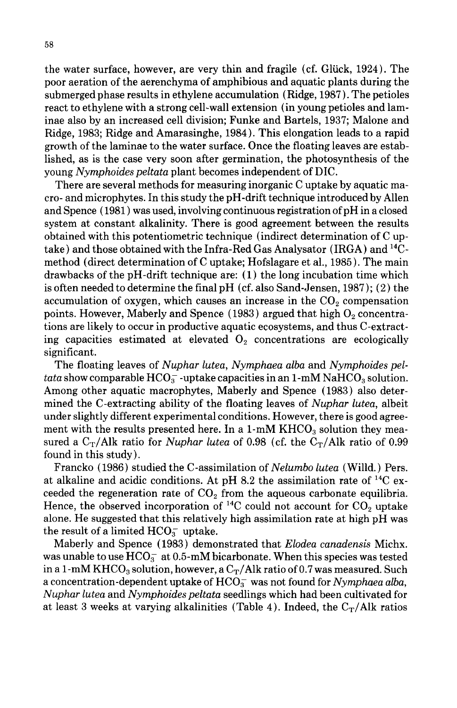the water surface, however, are very thin and fragile (cf. Glück, 1924). The poor aeration of the aerenchyma of amphibious and aquatic plants during the submerged phase results in ethylene accumulation (Ridge, 1987). The petioles react to ethylene with a strong cell-wall extension (in young petioles and laminae also by an increased cell division; Funke and Bartels, 1937; Malone and Ridge, 1983; Ridge and Amarasinghe, 1984). This elongation leads to a rapid growth of the laminae to the water surface. Once the floating leaves are established, as is the case very soon after germination, the photosynthesis of the young *Nymphoides peltata* plant becomes independent of DIC.

There are several methods for measuring inorganic C uptake by aquatic macro- and microphytes. In this study the pH -drift technique introduced by Allen and Spence ( 1981) was used, involving continuous registration of pH in a closed system at constant alkalinity. There is good agreement between the results obtained with this potentiometric technique (indirect determination of C uptake) and those obtained with the Infra-Red Gas Analysator (IRGA) and  $^{14}C$ method (direct determination of C uptake; Hofslagare et al., 1985). The main drawbacks of the pH-drift technique are:  $(1)$  the long incubation time which is often needed to determine the final pH (cf. also Sand-Jensen, 1987); (2) the accumulation of oxygen, which causes an increase in the  $CO<sub>2</sub>$  compensation points. However, Maberly and Spence (1983) argued that high  $O_2$  concentrations are likely to occur in productive aquatic ecosystems, and thus C-extracting capacities estimated at elevated  $O<sub>2</sub>$  concentrations are ecologically significant.

The floating leaves of *Nuphar lutea, Nymphaea alba* and *Nymphoides peltata* show comparable  $HCO_3^-$ -uptake capacities in an 1-mM NaHCO<sub>3</sub> solution. Among other aquatic macrophytes, Maberly and Spence ( 1983) also determined the C-extracting ability of the floating leaves of *Nuphar lutea,* albeit under slightly different experimental conditions. However, there is good agreement with the results presented here. In a  $1\text{-m}M$  KHCO<sub>3</sub> solution they measured a  $C_T/Alk$  ratio for *Nuphar lutea* of 0.98 (cf. the  $C_T/Alk$  ratio of 0.99 found in this study).

Francko (1986) studied the C-assimilation of *Nelumbo lutea* (Willd.) Pers. at alkaline and acidic conditions. At pH 8.2 the assimilation rate of 14C exceeded the regeneration rate of  $CO<sub>2</sub>$  from the aqueous carbonate equilibria. Hence, the observed incorporation of <sup>14</sup>C could not account for  $CO<sub>2</sub>$  uptake alone. He suggested that this relatively high assimilation rate at high pH was the result of a limited  $HCO<sub>3</sub>$  uptake.

Maberly and Spence ( 1983) demonstrated that *Elodea canadensis* Michx. was unable to use  $HCO<sub>3</sub><sup>-</sup>$  at 0.5-mM bicarbonate. When this species was tested in a 1-mM KHCO<sub>3</sub> solution, however, a C<sub>T</sub>/Alk ratio of 0.7 was measured. Such a concentration-dependent uptake of  $HCO<sub>3</sub><sup>-</sup>$  was not found for *Nymphaea alba*, *Nuphar lutea* and *Nymphoides peltata* seedlings which had been cultivated for at least 3 weeks at varying alkalinities (Table 4). Indeed, the  $C_T/Alk$  ratios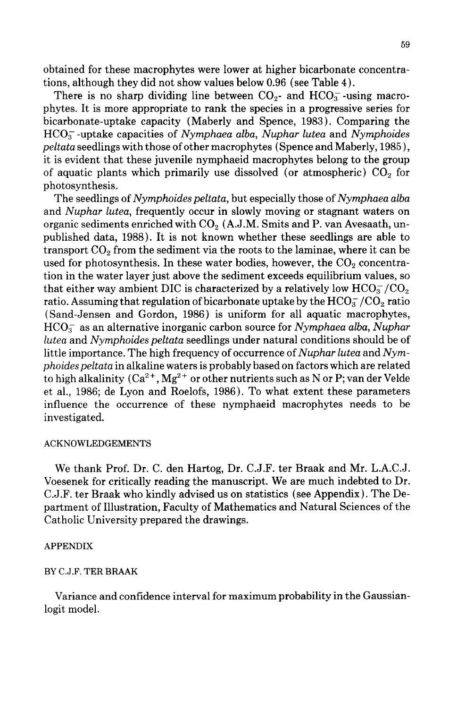obtained for these macrophytes were lower at higher bicarbonate concentrations, although they did not show values below 0.96 (see Table 4).

There is no sharp dividing line between  $CO<sub>2</sub>$ - and  $HCO<sub>3</sub>$ -using macrophytes. It is more appropriate to rank the species in a progressive series for bicarbonate-uptake capacity (Maberly and Spence, 1983). Comparing the HC03 -uptake capacities of *Nymphaea alba, Nuphar lutea* and *Nymphoides peltata* seedlings with those of other macrophytes (Spence and Maberly, 1985), it is evident that these juvenile nymphaeid macrophytes belong to the group of aquatic plants which primarily use dissolved (or atmospheric)  $CO<sub>2</sub>$  for photosynthesis.

The seedlings of *Nymphoides peltata*, but especially those of *Nymphaea alba* and *Nuphar lutea,* frequently occur in slowly moving or stagnant waters on organic sediments enriched with  $CO<sub>2</sub>$  (A.J.M. Smits and P. van Avesaath, unpublished data, 1988). It is not known whether these seedlings are able to transport  $CO<sub>2</sub>$  from the sediment via the roots to the laminae, where it can be used for photosynthesis. In these water bodies, however, the  $CO<sub>2</sub>$  concentration in the water layer just above the sediment exceeds equilibrium values, so that either way ambient DIC is characterized by a relatively low  $HCO<sub>3</sub><sup>-</sup>/CO<sub>2</sub>$ ratio. Assuming that regulation of bicarbonate uptake by the  $HCO<sub>3</sub><sup>-</sup>/CO<sub>2</sub>$  ratio (Sand-Jensen and Gordon, 1986) is uniform for all aquatic macrophytes, HC03 as an alternative inorganic carbon source for *Nymphaea alba, Nuphar lutea* and *Nymphoides peltata* seedlings under natural conditions should be of little importance. The high frequency of occurrence of *Nuphar lutea* and *Nymphoides peltata* in alkaline waters is probably based on factors which are related to high alkalinity  $(Ca^{2+}, Mg^{2+})$  or other nutrients such as N or P; van der Velde et al., 1986; de Lyon and Roelofs, 1986). To what extent these parameters influence the occurrence of these nymphaeid macrophytes needs to be investigated.

#### ACKNOWLEDGEMENTS

We thank Prof. Dr. C. den Hartog, Dr. C.J.F. ter Braak and Mr. L.A.C.J. Voesenek for critically reading the manuscript. We are much indebted to Dr. C.J.F. ter Braak who kindly advised us on statistics (see Appendix). The Department of Illustration, Faculty of Mathematics and Natural Sciences of the Catholic University prepared the drawings.

### APPENDIX

### BY C.J.F. TER BRAAK

Variance and confidence interval for maximum probability in the Gaussianlogit model.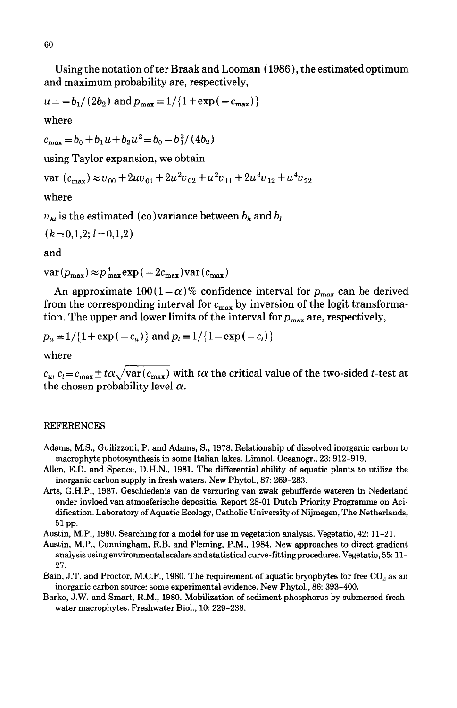Using the notation of ter Braak and Looman ( 1986), the estimated optimum and maximum probability are, respectively,

$$
u = -b_1/(2b_2)
$$
 and  $p_{\text{max}} = 1/(1 + \exp(-c_{\text{max}}))$ 

where

 $c_{\text{max}} = b_0 + b_1 u + b_2 u^2 = b_0 - b_1^2 / (4b_2)$ 

using Taylor expansion, we obtain

 $var(c_{\text{max}}) \approx v_{00} + 2uv_{01} + 2u^2v_{02} + u^2v_{11} + 2u^3v_{12} + u^4v_{22}$ 

where

 $v_{kl}$  is the estimated (co)variance between  $b_k$  and  $b_l$ 

$$
(k=0,1,2; l=0,1,2)
$$

and

 $var(p_{\text{max}}) \approx p_{\text{max}}^4 exp(-2c_{\text{max}}) var(c_{\text{max}})$ 

An approximate  $100(1-\alpha)\%$  confidence interval for  $p_{\text{max}}$  can be derived from the corresponding interval for  $c_{\text{max}}$  by inversion of the logit transformation. The upper and lower limits of the interval for  $p_{\text{max}}$  are, respectively,

$$
p_u = 1/{1 + \exp(-c_u)}
$$
 and  $p_l = 1/{1 - \exp(-c_l)}$ 

where

 $c_u$ ,  $c_l = c_{\text{max}} \pm t\alpha\sqrt{\text{var}(c_{\text{max}})}$  with  $t\alpha$  the critical value of the two-sided *t*-test at the chosen probability level  $\alpha$ .

# REFERENCES

- Adams, M.S., Guilizzoni, P. and Adams, S., 1978. Relationship of dissolved inorganic carbon to macrophyte photosynthesis in some Italian lakes. Limnol. Oceanogr., 23: 912-919.
- Allen, E.D. and Spence, D.H.N., 1981. The differential ability of aquatic plants to utilize the inorganic carbon supply in fresh waters. New Phytol., 87: 269-283.
- Arts, G.H.P., 1987. Geschiedenis van de verzuring van zwak gebufferde wateren in Nederland onder invloed van atmosferische depositie. Report 28-01 Dutch Priority Programme on Acidification. Laboratory of Aquatic Ecology, Catholic University of Nijmegen, The Netherlands, 51 pp.

Austin, M.P., 1980. Searching for a model for use in vegetation analysis. Vegetatio, 42: 11-21.

- Austin, M.P., Cunningham, R.B. and Fleming, P.M., 1984. New approaches to direct gradient analysis using environmental scalars and statistical curve-fittingprocedures. Vegetatio, 55: 11- 27.
- Bain, J.T. and Proctor, M.C.F., 1980. The requirement of aquatic bryophytes for free  $CO_2$  as an inorganic carbon source: some experimental evidence. New Phytol., 86: 393-400.
- Barko, J.W. and Smart, R.M., 1980. Mobilization of sediment phosphorus by submersed freshwater macrophytes. Freshwater Biol., 10: 229-238.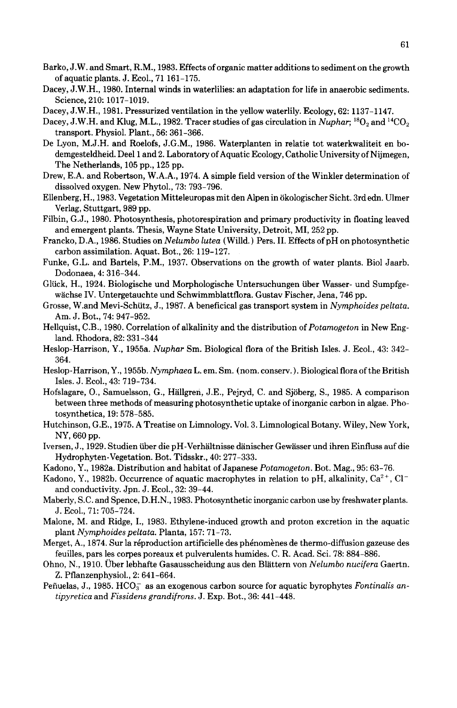- Barko, J. W. and Smart, R.M., 1983. Effects of organic matter additions to sediment on the growth of aquatic plants. J. Ecol., 71161-175.
- Dacey, J.W.H., 1980. Internal winds in waterlilies: an adaptation for life in anaerobic sediments. Science, 210: 1017-1019.
- Dacey, J.W.H., 1981. Pressurized ventilation in the yellow waterlily. Ecology, 62: 1137-1147.
- Dacey, J.W.H. and Klug, M.L., 1982. Tracer studies of gas circulation in *Nuphar*; <sup>18</sup>O<sub>2</sub> and <sup>14</sup>CO<sub>2</sub> transport. Physiol. Plant., 56: 361-366.
- De Lyon, M.J.H. and Roelofs, J.G.M., 1986. Waterplanten in relatie tot waterkwaliteit en bodemgesteldheid. Deel 1 and 2. Laboratory of Aquatic Ecology, Catholic University of Nijmegen, The Netherlands, 105 pp., 125 pp.
- Drew, E.A. and Robertson, W.A.A., 1974. A simple field version of the Winkler determination of dissolved oxygen. New Phytol., 73: 793-796.
- Ellenberg, H., 1983. Vegetation Mitteleuropas mit den Alpen in okologischer Sicht. 3rdedn. Ulmer Verlag, Stuttgart, 989 pp.
- Filbin, G.J., 1980. Photosynthesis, photorespiration and primary productivity in floating leaved and emergent plants. Thesis, Wayne State University, Detroit, MI, 252 pp.
- Francko, D.A., 1986. Studies on *Nelumbo lutea* (Willd.) Pers. II. Effects of pH on photosynthetic carbon assimilation. Aquat. Bot., 26: 119-127.
- Funke, G.L. and Bartels, P.M., 1937. Observations on the growth of water plants. Bioi Jaarb. Dodonaea, 4: 316-344.
- Gliick, H., 1924. Biologische und Morphologische Untersuchungen tiber Wasser- und Sumpfgewachse IV. Untergetauchte und Schwimmblattflora. Gustav Fischer, Jena, 746 pp.
- Grosse, W.and Mevi-Schiitz, J., 1987. A beneficical gas transport system in *Nymphoides peltata.*  Am. J. Bot., 74: 947-952.
- Hellquist, C.B., 1980. Correlation of alkalinity and the distribution of *Potamogeton* in New England. Rhodora, 82: 331-344
- Heslop-Harrison, Y., 1955a. *Nuphar* Sm. Biological flora of the British Isles. J. Ecol., 43: 342- 364.
- Heslop-Harrison, Y ., 1955b. *Nymphaea* L. em. Sm. (nom. conserv.). Biological flora of the British Isles. J. Ecol., 43: 719-734.
- Hofslagare, 0., Samuelsson, G., Hallgren, J.E., Pejryd, C. and Sjoberg, S., 1985. A comparison between three methods of measuring photosynthetic uptake of inorganic carbon in algae. Photosynthetica, 19: 578-585.
- Hutchinson, G.E., 1975. A Treatise on Limnology. Vol. 3. Limnological Botany. Wiley, New York, NY, 660 pp.
- Iversen, J., 1929. Studien tiber die pH-Verhiiltnisse danischer Gewasser und ihren Einfluss auf die Hydrophyten-Vegetation. Bot. Tidsskr., 40: 277-333.
- Kadono, Y., 1982a. Distribution and habitat of Japanese *Potamogeton.* Bot. Mag., 95: 63-76.
- Kadono, Y., 1982b. Occurrence of aquatic macrophytes in relation to pH, alkalinity,  $Ca^{2+}$ , Cl<sup>-</sup> and conductivity. Jpn. J. Ecol., 32: 39-44.
- Maberly, S.C. and Spence, D.H.N., 1983. Photosynthetic inorganic carbon use by freshwater plants. J. Ecol., 71: 705-724.
- Malone, M. and Ridge, 1., 1983. Ethylene-induced growth and proton excretion in the aquatic plant *Nymphoides peltata.* Planta, 157: 71-73.
- Merget, A., 1874. Sur la réproduction artificielle des phénomènes de thermo-diffusion gazeuse des feuilles, pars les corpes poreaux et pulverulents humides. C. R. Acad. Sci. 78: 884-886.
- Ohno, N., 1910. Crber lebhafte Gasausscheidung aus den Blattern von *Nelumbo nucifera* Gaertn. Z. Pflanzenphysiol., 2: 641-664.
- Peñuelas, J., 1985. HCO<sub>3</sub> as an exogenous carbon source for aquatic byrophytes *Fontinalis antipyretica* and *Fissidens grandifrons.* J. Exp. Bot., 36: 441-448.